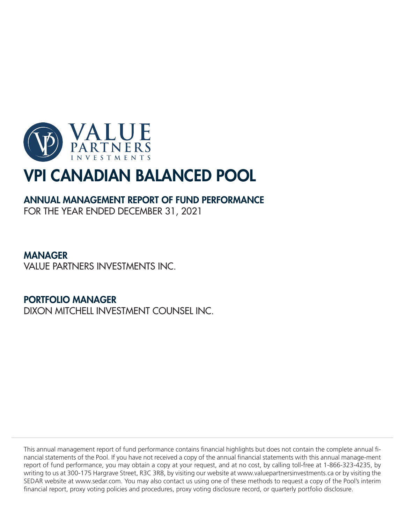

## ANNUAL MANAGEMENT REPORT OF FUND PERFORMANCE

FOR THE YEAR ENDED DECEMBER 31, 2021

## MANAGER

VALUE PARTNERS INVESTMENTS INC.

## PORTFOLIO MANAGER

DIXON MITCHELL INVESTMENT COUNSEL INC.

This annual management report of fund performance contains financial highlights but does not contain the complete annual financial statements of the Pool. If you have not received a copy of the annual financial statements with this annual manage-ment report of fund performance, you may obtain a copy at your request, and at no cost, by calling toll-free at 1-866-323-4235, by writing to us at 300-175 Hargrave Street, R3C 3R8, by visiting our website at www.valuepartnersinvestments.ca or by visiting the SEDAR website at www.sedar.com. You may also contact us using one of these methods to request a copy of the Pool's interim financial report, proxy voting policies and procedures, proxy voting disclosure record, or quarterly portfolio disclosure.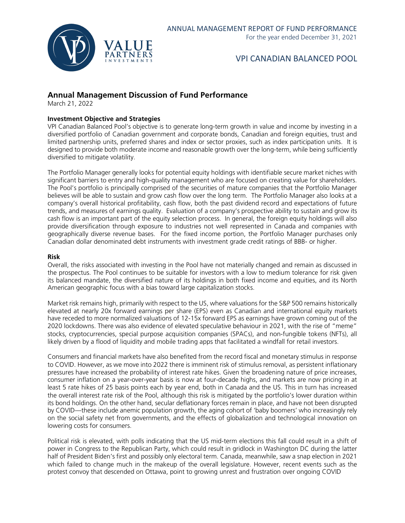

## **Annual Management Discussion of Fund Performance**

March 21, 2022

## **Investment Objective and Strategies**

VPI Canadian Balanced Pool's objective is to generate long-term growth in value and income by investing in a diversified portfolio of Canadian government and corporate bonds, Canadian and foreign equities, trust and limited partnership units, preferred shares and index or sector proxies, such as index participation units. It is designed to provide both moderate income and reasonable growth over the long-term, while being sufficiently diversified to mitigate volatility.

The Portfolio Manager generally looks for potential equity holdings with identifiable secure market niches with significant barriers to entry and high-quality management who are focused on creating value for shareholders. The Pool's portfolio is principally comprised of the securities of mature companies that the Portfolio Manager believes will be able to sustain and grow cash flow over the long term. The Portfolio Manager also looks at a company's overall historical profitability, cash flow, both the past dividend record and expectations of future trends, and measures of earnings quality. Evaluation of a company's prospective ability to sustain and grow its cash flow is an important part of the equity selection process. In general, the foreign equity holdings will also provide diversification through exposure to industries not well represented in Canada and companies with geographically diverse revenue bases. For the fixed income portion, the Portfolio Manager purchases only Canadian dollar denominated debt instruments with investment grade credit ratings of BBB- or higher.

#### **Risk**

Overall, the risks associated with investing in the Pool have not materially changed and remain as discussed in the prospectus. The Pool continues to be suitable for investors with a low to medium tolerance for risk given its balanced mandate, the diversified nature of its holdings in both fixed income and equities, and its North American geographic focus with a bias toward large capitalization stocks.

Market risk remains high, primarily with respect to the US, where valuations for the S&P 500 remains historically elevated at nearly 20x forward earnings per share (EPS) even as Canadian and international equity markets have receded to more normalized valuations of 12-15x forward EPS as earnings have grown coming out of the 2020 lockdowns. There was also evidence of elevated speculative behaviour in 2021, with the rise of "meme" stocks, cryptocurrencies, special purpose acquisition companies (SPACs), and non-fungible tokens (NFTs), all likely driven by a flood of liquidity and mobile trading apps that facilitated a windfall for retail investors.

Consumers and financial markets have also benefited from the record fiscal and monetary stimulus in response to COVID. However, as we move into 2022 there is imminent risk of stimulus removal, as persistent inflationary pressures have increased the probability of interest rate hikes. Given the broadening nature of price increases, consumer inflation on a year-over-year basis is now at four-decade highs, and markets are now pricing in at least 5 rate hikes of 25 basis points each by year end, both in Canada and the US. This in turn has increased the overall interest rate risk of the Pool, although this risk is mitigated by the portfolio's lower duration within its bond holdings. On the other hand, secular deflationary forces remain in place, and have not been disrupted by COVID—these include anemic population growth, the aging cohort of 'baby boomers' who increasingly rely on the social safety net from governments, and the effects of globalization and technological innovation on lowering costs for consumers.

Political risk is elevated, with polls indicating that the US mid-term elections this fall could result in a shift of power in Congress to the Republican Party, which could result in gridlock in Washington DC during the latter half of President Biden's first and possibly only electoral term. Canada, meanwhile, saw a snap election in 2021 which failed to change much in the makeup of the overall legislature. However, recent events such as the protest convoy that descended on Ottawa, point to growing unrest and frustration over ongoing COVID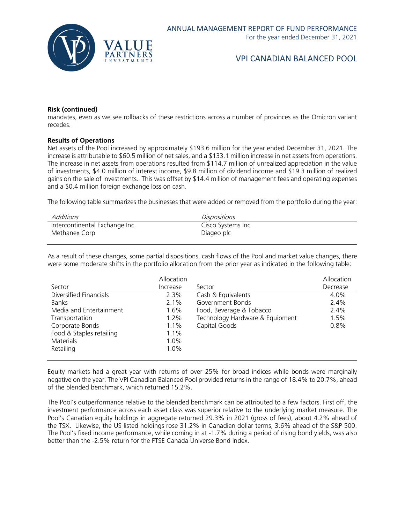

#### **Risk (continued)**

mandates, even as we see rollbacks of these restrictions across a number of provinces as the Omicron variant recedes.

#### **Results of Operations**

Net assets of the Pool increased by approximately \$193.6 million for the year ended December 31, 2021. The increase is attributable to \$60.5 million of net sales, and a \$133.1 million increase in net assets from operations. The increase in net assets from operations resulted from \$114.7 million of unrealized appreciation in the value of investments, \$4.0 million of interest income, \$9.8 million of dividend income and \$19.3 million of realized gains on the sale of investments. This was offset by \$14.4 million of management fees and operating expenses and a \$0.4 million foreign exchange loss on cash.

The following table summarizes the businesses that were added or removed from the portfolio during the year:

| Additions                      | <i>Dispositions</i> |
|--------------------------------|---------------------|
| Intercontinental Exchange Inc. | Cisco Systems Inc   |
| Methanex Corp                  | Diageo plc          |

As a result of these changes, some partial dispositions, cash flows of the Pool and market value changes, there were some moderate shifts in the portfolio allocation from the prior year as indicated in the following table:

|                          | Allocation |                                 | Allocation |
|--------------------------|------------|---------------------------------|------------|
| Sector                   | Increase   | Sector                          | Decrease   |
| Diversified Financials   | $2.3\%$    | Cash & Equivalents              | $4.0\%$    |
| <b>Banks</b>             | $2.1\%$    | Government Bonds                | 2.4%       |
| Media and Entertainment  | 1.6%       | Food, Beverage & Tobacco        | $2.4\%$    |
| Transportation           | 1.2%       | Technology Hardware & Equipment | 1.5%       |
| Corporate Bonds          | 1.1%       | Capital Goods                   | 0.8%       |
| Food & Staples retailing | 1.1%       |                                 |            |
| <b>Materials</b>         | 1.0%       |                                 |            |
| Retailing                | 1.0%       |                                 |            |
|                          |            |                                 |            |

Equity markets had a great year with returns of over 25% for broad indices while bonds were marginally negative on the year. The VPI Canadian Balanced Pool provided returns in the range of 18.4% to 20.7%, ahead of the blended benchmark, which returned 15.2%.

The Pool's outperformance relative to the blended benchmark can be attributed to a few factors. First off, the investment performance across each asset class was superior relative to the underlying market measure. The Pool's Canadian equity holdings in aggregate returned 29.3% in 2021 (gross of fees), about 4.2% ahead of the TSX. Likewise, the US listed holdings rose 31.2% in Canadian dollar terms, 3.6% ahead of the S&P 500. The Pool's fixed income performance, while coming in at -1.7% during a period of rising bond yields, was also better than the -2.5% return for the FTSE Canada Universe Bond Index.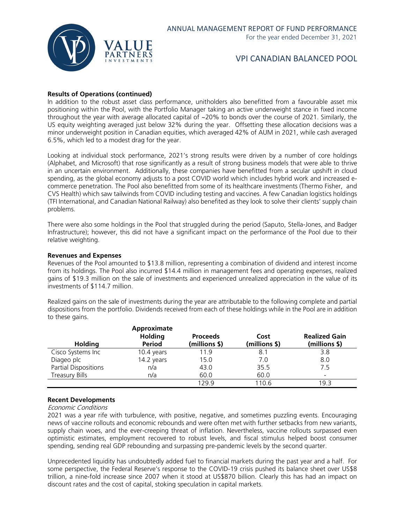

## **Results of Operations (continued)**

In addition to the robust asset class performance, unitholders also benefitted from a favourable asset mix positioning within the Pool, with the Portfolio Manager taking an active underweight stance in fixed income throughout the year with average allocated capital of ~20% to bonds over the course of 2021. Similarly, the US equity weighting averaged just below 32% during the year. Offsetting these allocation decisions was a minor underweight position in Canadian equities, which averaged 42% of AUM in 2021, while cash averaged 6.5%, which led to a modest drag for the year.

Looking at individual stock performance, 2021's strong results were driven by a number of core holdings (Alphabet, and Microsoft) that rose significantly as a result of strong business models that were able to thrive in an uncertain environment. Additionally, these companies have benefitted from a secular upshift in cloud spending, as the global economy adjusts to a post COVID world which includes hybrid work and increased ecommerce penetration. The Pool also benefitted from some of its healthcare investments (Thermo Fisher, and CVS Health) which saw tailwinds from COVID including testing and vaccines. A few Canadian logistics holdings (TFI International, and Canadian National Railway) also benefited as they look to solve their clients' supply chain problems.

There were also some holdings in the Pool that struggled during the period (Saputo, Stella-Jones, and Badger Infrastructure); however, this did not have a significant impact on the performance of the Pool due to their relative weighting.

#### **Revenues and Expenses**

Revenues of the Pool amounted to \$13.8 million, representing a combination of dividend and interest income from its holdings. The Pool also incurred \$14.4 million in management fees and operating expenses, realized gains of \$19.3 million on the sale of investments and experienced unrealized appreciation in the value of its investments of \$114.7 million.

Realized gains on the sale of investments during the year are attributable to the following complete and partial dispositions from the portfolio. Dividends received from each of these holdings while in the Pool are in addition to these gains.

|                       | Approximate<br><b>Holding</b> | <b>Proceeds</b> | Cost          | <b>Realized Gain</b> |
|-----------------------|-------------------------------|-----------------|---------------|----------------------|
| <b>Holding</b>        | Period                        | (millions \$)   | (millions \$) | (millions \$)        |
| Cisco Systems Inc     | 10.4 years                    | 11.9            | 8.1           | 3.8                  |
| Diageo plc            | 14.2 years                    | 15.0            | 7.0           | 8.0                  |
| Partial Dispositions  | n/a                           | 43.0            | 35.5          | 7.5                  |
| <b>Treasury Bills</b> | n/a                           | 60.0            | 60.0          |                      |
|                       |                               | 129.9           | 110.6         | 19.3                 |

## **Recent Developments**

## Economic Conditions

2021 was a year rife with turbulence, with positive, negative, and sometimes puzzling events. Encouraging news of vaccine rollouts and economic rebounds and were often met with further setbacks from new variants, supply chain woes, and the ever-creeping threat of inflation. Nevertheless, vaccine rollouts surpassed even optimistic estimates, employment recovered to robust levels, and fiscal stimulus helped boost consumer spending, sending real GDP rebounding and surpassing pre-pandemic levels by the second quarter.

Unprecedented liquidity has undoubtedly added fuel to financial markets during the past year and a half. For some perspective, the Federal Reserve's response to the COVID-19 crisis pushed its balance sheet over US\$8 trillion, a nine-fold increase since 2007 when it stood at US\$870 billion. Clearly this has had an impact on discount rates and the cost of capital, stoking speculation in capital markets.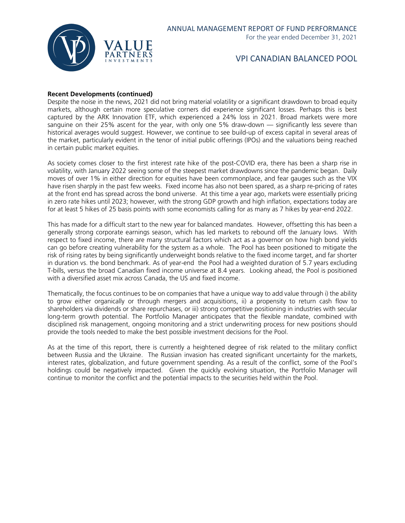

## **Recent Developments (continued)**

Despite the noise in the news, 2021 did not bring material volatility or a significant drawdown to broad equity markets, although certain more speculative corners did experience significant losses. Perhaps this is best captured by the ARK Innovation ETF, which experienced a 24% loss in 2021. Broad markets were more sanguine on their 25% ascent for the year, with only one 5% draw-down — significantly less severe than historical averages would suggest. However, we continue to see build-up of excess capital in several areas of the market, particularly evident in the tenor of initial public offerings (IPOs) and the valuations being reached in certain public market equities.

As society comes closer to the first interest rate hike of the post-COVID era, there has been a sharp rise in volatility, with January 2022 seeing some of the steepest market drawdowns since the pandemic began. Daily moves of over 1% in either direction for equities have been commonplace, and fear gauges such as the VIX have risen sharply in the past few weeks. Fixed income has also not been spared, as a sharp re-pricing of rates at the front end has spread across the bond universe. At this time a year ago, markets were essentially pricing in zero rate hikes until 2023; however, with the strong GDP growth and high inflation, expectations today are for at least 5 hikes of 25 basis points with some economists calling for as many as 7 hikes by year-end 2022.

This has made for a difficult start to the new year for balanced mandates. However, offsetting this has been a generally strong corporate earnings season, which has led markets to rebound off the January lows. With respect to fixed income, there are many structural factors which act as a governor on how high bond yields can go before creating vulnerability for the system as a whole. The Pool has been positioned to mitigate the risk of rising rates by being significantly underweight bonds relative to the fixed income target, and far shorter in duration vs. the bond benchmark. As of year-end the Pool had a weighted duration of 5.7 years excluding T-bills, versus the broad Canadian fixed income universe at 8.4 years. Looking ahead, the Pool is positioned with a diversified asset mix across Canada, the US and fixed income.

Thematically, the focus continues to be on companies that have a unique way to add value through i) the ability to grow either organically or through mergers and acquisitions, ii) a propensity to return cash flow to shareholders via dividends or share repurchases, or iii) strong competitive positioning in industries with secular long-term growth potential. The Portfolio Manager anticipates that the flexible mandate, combined with disciplined risk management, ongoing monitoring and a strict underwriting process for new positions should provide the tools needed to make the best possible investment decisions for the Pool.

As at the time of this report, there is currently a heightened degree of risk related to the military conflict between Russia and the Ukraine. The Russian invasion has created significant uncertainty for the markets, interest rates, globalization, and future government spending. As a result of the conflict, some of the Pool's holdings could be negatively impacted. Given the quickly evolving situation, the Portfolio Manager will continue to monitor the conflict and the potential impacts to the securities held within the Pool.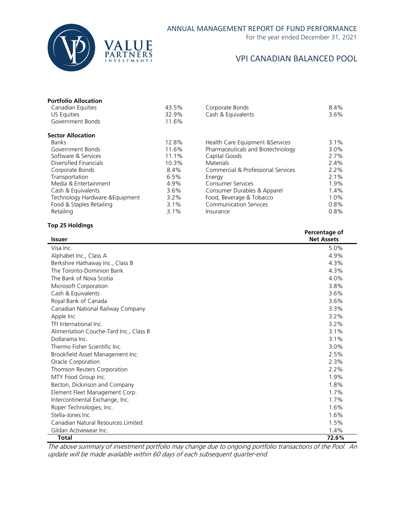

For the year ended December 31, 2021

## VPI CANADIAN BALANCED POOL

| <b>Portfolio Allocation</b><br>Canadian Equities<br>US Equities<br>Government Bonds | 43.5%<br>32.9%<br>11.6% | Corporate Bonds<br>Cash & Equivalents | 8.4%<br>$3.6\%$ |
|-------------------------------------------------------------------------------------|-------------------------|---------------------------------------|-----------------|
| <b>Sector Allocation</b>                                                            |                         |                                       |                 |
| <b>Banks</b>                                                                        | 12.8%                   | Health Care Equipment & Services      | 3.1%            |
| Government Bonds                                                                    | 11.6%                   | Pharmaceuticals and Biotechnology     | 3.0%            |
| Software & Services                                                                 | 11.1%                   | Capital Goods                         | 2.7%            |
| Diversified Financials                                                              | 10.3%                   | <b>Materials</b>                      | 2.4%            |
| Corporate Bonds                                                                     | 8.4%                    | Commercial & Professional Services    | 2.2%            |
| Transportation                                                                      | 6.5%                    | Energy                                | 2.1%            |
| Media & Entertainment                                                               | 4.9%                    | <b>Consumer Services</b>              | 1.9%            |
| Cash & Equivalents                                                                  | 3.6%                    | Consumer Durables & Apparel           | 1.4%            |
| Technology Hardware & Equipment                                                     | 3.2%                    | Food, Beverage & Tobacco              | $1.0\%$         |
| Food & Staples Retailing                                                            | $3.1\%$                 | <b>Communication Services</b>         | 0.8%            |
| Retailing                                                                           | 3.1%                    | Insurance                             | 0.8%            |

## **Top 25 Holdings**

| <b>Issuer</b>                          | Percentage of<br><b>Net Assets</b> |
|----------------------------------------|------------------------------------|
| Visa Inc.                              | 5.0%                               |
| Alphabet Inc., Class A                 | 4.9%                               |
| Berkshire Hathaway Inc., Class B       | 4.3%                               |
| The Toronto-Dominion Bank              | 4.3%                               |
| The Bank of Nova Scotia                | 4.0%                               |
| Microsoft Corporation                  | 3.8%                               |
| Cash & Equivalents                     | 3.6%                               |
| Royal Bank of Canada                   | 3.6%                               |
| Canadian National Railway Company      | 3.3%                               |
| Apple Inc.                             | 3.2%                               |
| TFI International Inc.                 | 3.2%                               |
| Alimentation Couche-Tard Inc., Class B | 3.1%                               |
| Dollarama Inc.                         | 3.1%                               |
| Thermo Fisher Scientific Inc.          | 3.0%                               |
| Brookfield Asset Management Inc.       | 2.5%                               |
| Oracle Corporation                     | 2.3%                               |
| Thomson Reuters Corporation            | 2.2%                               |
| MTY Food Group Inc.                    | 1.9%                               |
| Becton, Dickinson and Company          | 1.8%                               |
| Element Fleet Management Corp.         | 1.7%                               |
| Intercontinental Exchange, Inc.        | 1.7%                               |
| Roper Technologies, Inc.               | 1.6%                               |
| Stella-Jones Inc.                      | 1.6%                               |
| Canadian Natural Resources Limited     | 1.5%                               |
| Gildan Activewear Inc.                 | 1.4%                               |
| <b>Total</b>                           | 72.6%                              |

The above summary of investment portfolio may change due to ongoing portfolio transactions of the Pool. An update will be made available within 60 days of each subsequent quarter-end.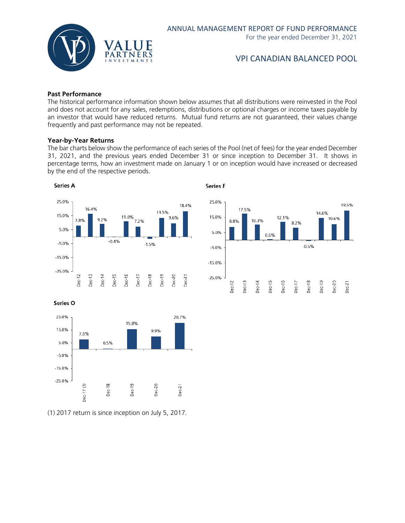

#### **Past Performance**

The historical performance information shown below assumes that all distributions were reinvested in the Pool and does not account for any sales, redemptions, distributions or optional charges or income taxes payable by an investor that would have reduced returns. Mutual fund returns are not guaranteed, their values change frequently and past performance may not be repeated.

#### **Year-by-Year Returns**

The bar charts below show the performance of each series of the Pool (net of fees) for the year ended December 31, 2021, and the previous years ended December 31 or since inception to December 31. It shows in percentage terms, how an investment made on January 1 or on inception would have increased or decreased by the end of the respective periods.

**Series F** 





Series O



(1) 2017 return is since inception on July 5, 2017.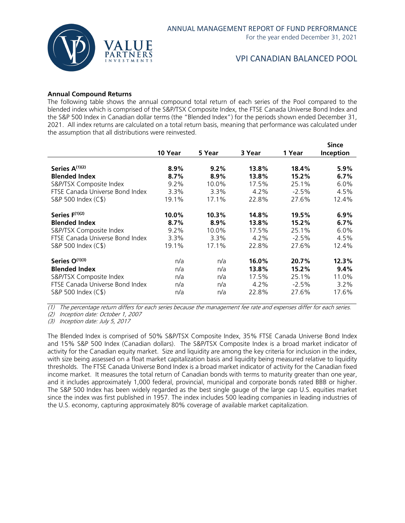

## **Annual Compound Returns**

The following table shows the annual compound total return of each series of the Pool compared to the blended index which is comprised of the S&P/TSX Composite Index, the FTSE Canada Universe Bond Index and the S&P 500 Index in Canadian dollar terms (the "Blended Index") for the periods shown ended December 31, 2021. All index returns are calculated on a total return basis, meaning that performance was calculated under the assumption that all distributions were reinvested.

|                                 |         |        |         |         | <b>Since</b> |
|---------------------------------|---------|--------|---------|---------|--------------|
|                                 | 10 Year | 5 Year | 3 Year  | 1 Year  | Inception    |
|                                 |         |        |         |         |              |
| Series A <sup>(1)(2)</sup>      | 8.9%    | 9.2%   | 13.8%   | 18.4%   | 5.9%         |
| <b>Blended Index</b>            | 8.7%    | 8.9%   | 13.8%   | 15.2%   | 6.7%         |
| S&P/TSX Composite Index         | 9.2%    | 10.0%  | 17.5%   | 25.1%   | 6.0%         |
| FTSE Canada Universe Bond Index | 3.3%    | 3.3%   | $4.2\%$ | $-2.5%$ | 4.5%         |
| S&P 500 Index (C\$)             | 19.1%   | 17.1%  | 22.8%   | 27.6%   | 12.4%        |
| Series F(1)(2)                  | 10.0%   | 10.3%  | 14.8%   | 19.5%   | 6.9%         |
| <b>Blended Index</b>            | 8.7%    | 8.9%   | 13.8%   | 15.2%   | 6.7%         |
| S&P/TSX Composite Index         | 9.2%    | 10.0%  | 17.5%   | 25.1%   | 6.0%         |
| FTSE Canada Universe Bond Index | 3.3%    | 3.3%   | 4.2%    | $-2.5%$ | 4.5%         |
| S&P 500 Index (C\$)             | 19.1%   | 17.1%  | 22.8%   | 27.6%   | 12.4%        |
| Series O(1)(3)                  | n/a     | n/a    | 16.0%   | 20.7%   | 12.3%        |
| <b>Blended Index</b>            | n/a     | n/a    | 13.8%   | 15.2%   | 9.4%         |
| S&P/TSX Composite Index         | n/a     | n/a    | 17.5%   | 25.1%   | 11.0%        |
| FTSE Canada Universe Bond Index | n/a     | n/a    | $4.2\%$ | $-2.5%$ | $3.2\%$      |
| S&P 500 Index (C\$)             | n/a     | n/a    | 22.8%   | 27.6%   | 17.6%        |

(1) The percentage return differs for each series because the management fee rate and expenses differ for each series.

(2) Inception date: October 1, 2007

(3) Inception date: July 5, 2017

The Blended Index is comprised of 50% S&P/TSX Composite Index, 35% FTSE Canada Universe Bond Index and 15% S&P 500 Index (Canadian dollars). The S&P/TSX Composite Index is a broad market indicator of activity for the Canadian equity market. Size and liquidity are among the key criteria for inclusion in the index, with size being assessed on a float market capitalization basis and liquidity being measured relative to liquidity thresholds. The FTSE Canada Universe Bond Index is a broad market indicator of activity for the Canadian fixed income market. It measures the total return of Canadian bonds with terms to maturity greater than one year, and it includes approximately 1,000 federal, provincial, municipal and corporate bonds rated BBB or higher. The S&P 500 Index has been widely regarded as the best single gauge of the large cap U.S. equities market since the index was first published in 1957. The index includes 500 leading companies in leading industries of the U.S. economy, capturing approximately 80% coverage of available market capitalization.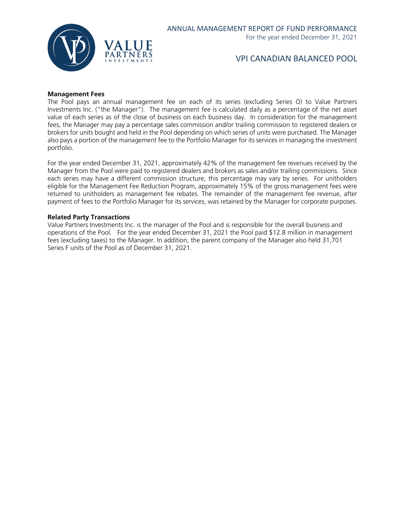

#### **Management Fees**

The Pool pays an annual management fee on each of its series (excluding Series O) to Value Partners Investments Inc. ("the Manager"). The management fee is calculated daily as a percentage of the net asset value of each series as of the close of business on each business day. In consideration for the management fees, the Manager may pay a percentage sales commission and/or trailing commission to registered dealers or brokers for units bought and held in the Pool depending on which series of units were purchased. The Manager also pays a portion of the management fee to the Portfolio Manager for its services in managing the investment portfolio.

For the year ended December 31, 2021, approximately 42% of the management fee revenues received by the Manager from the Pool were paid to registered dealers and brokers as sales and/or trailing commissions. Since each series may have a different commission structure, this percentage may vary by series. For unitholders eligible for the Management Fee Reduction Program, approximately 15% of the gross management fees were returned to unitholders as management fee rebates. The remainder of the management fee revenue, after payment of fees to the Portfolio Manager for its services, was retained by the Manager for corporate purposes.

#### **Related Party Transactions**

Value Partners Investments Inc. is the manager of the Pool and is responsible for the overall business and operations of the Pool. For the year ended December 31, 2021 the Pool paid \$12.8 million in management fees (excluding taxes) to the Manager. In addition, the parent company of the Manager also held 31,701 Series F units of the Pool as of December 31, 2021.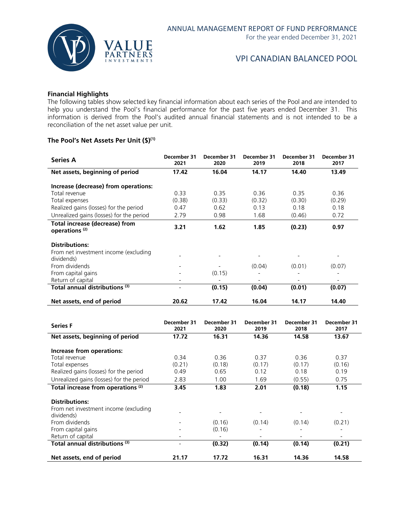

## **Financial Highlights**

The following tables show selected key financial information about each series of the Pool and are intended to help you understand the Pool's financial performance for the past five years ended December 31. This information is derived from the Pool's audited annual financial statements and is not intended to be a reconciliation of the net asset value per unit.

#### **The Pool's Net Assets Per Unit (\$)(1)**

| <b>Series A</b>                                             | December 31<br>2021 | December 31<br>2020 | December 31<br>2019 | December 31<br>2018 | December 31<br>2017 |
|-------------------------------------------------------------|---------------------|---------------------|---------------------|---------------------|---------------------|
| Net assets, beginning of period                             | 17.42               | 16.04               | 14.17               | 14.40               | 13.49               |
| Increase (decrease) from operations:                        |                     |                     |                     |                     |                     |
| Total revenue                                               | 0.33                | 0.35                | 0.36                | 0.35                | 0.36                |
| Total expenses                                              | (0.38)              | (0.33)              | (0.32)              | (0.30)              | (0.29)              |
| Realized gains (losses) for the period                      | 0.47                | 0.62                | 0.13                | 0.18                | 0.18                |
| Unrealized gains (losses) for the period                    | 2.79                | 0.98                | 1.68                | (0.46)              | 0.72                |
| Total increase (decrease) from<br>operations <sup>(2)</sup> | 3.21                | 1.62                | 1.85                | (0.23)              | 0.97                |
| <b>Distributions:</b>                                       |                     |                     |                     |                     |                     |
| From net investment income (excluding<br>dividends)         |                     |                     |                     |                     |                     |
| From dividends                                              |                     |                     | (0.04)              | (0.01)              | (0.07)              |
| From capital gains                                          |                     | (0.15)              |                     |                     |                     |
| Return of capital                                           |                     |                     |                     |                     |                     |
| Total annual distributions <sup>(3)</sup>                   |                     | (0.15)              | (0.04)              | (0.01)              | (0.07)              |
| Net assets, end of period                                   | 20.62               | 17.42               | 16.04               | 14.17               | 14.40               |

| <b>Series F</b>                               | December 31<br>2021 | December 31<br>2020 | December 31<br>2019 | December 31<br>2018 | December 31<br>2017 |
|-----------------------------------------------|---------------------|---------------------|---------------------|---------------------|---------------------|
| Net assets, beginning of period               | 17.72               | 16.31               | 14.36               | 14.58               | 13.67               |
| Increase from operations:                     |                     |                     |                     |                     |                     |
| Total revenue                                 | 0.34                | 0.36                | 0.37                | 0.36                | 0.37                |
| Total expenses                                | (0.21)              | (0.18)              | (0.17)              | (0.17)              | (0.16)              |
| Realized gains (losses) for the period        | 0.49                | 0.65                | 0.12                | 0.18                | 0.19                |
| Unrealized gains (losses) for the period      | 2.83                | 1.00                | 1.69                | (0.55)              | 0.75                |
| Total increase from operations <sup>(2)</sup> | 3.45                | 1.83                | 2.01                | (0.18)              | 1.15                |
| <b>Distributions:</b>                         |                     |                     |                     |                     |                     |
| From net investment income (excluding         |                     |                     |                     |                     |                     |
| dividends)                                    |                     |                     |                     |                     |                     |
| From dividends                                |                     | (0.16)              | (0.14)              | (0.14)              | (0.21)              |
| From capital gains                            |                     | (0.16)              |                     |                     |                     |
| Return of capital                             |                     |                     |                     |                     |                     |
| Total annual distributions (3)                |                     | (0.32)              | (0.14)              | (0.14)              | (0.21)              |
| Net assets, end of period                     | 21.17               | 17.72               | 16.31               | 14.36               | 14.58               |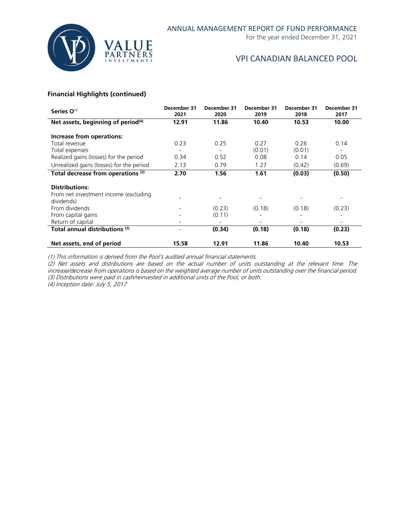

For the year ended December 31, 2021

## VPI CANADIAN BALANCED POOL

## **Financial Highlights (continued)**

| Series O <sup>(4)</sup>                        | December 31<br>2021 | December 31<br>2020 | December 31<br>2019 | December 31<br>2018 | December 31<br>2017 |
|------------------------------------------------|---------------------|---------------------|---------------------|---------------------|---------------------|
| Net assets, beginning of period <sup>(4)</sup> | 12.91               | 11.86               | 10.40               | 10.53               | 10.00               |
| Increase from operations:                      |                     |                     |                     |                     |                     |
| Total revenue                                  | 0.23                | 0.25                | 0.27                | 0.26                | 0.14                |
| Total expenses                                 |                     |                     | (0.01)              | (0.01)              |                     |
| Realized gains (losses) for the period         | 0.34                | 0.52                | 0.08                | 0.14                | 0.05                |
| Unrealized gains (losses) for the period       | 2.13                | 0.79                | 1.27                | (0.42)              | (0.69)              |
| Total decrease from operations <sup>(2)</sup>  | 2.70                | 1.56                | 1.61                | (0.03)              | (0.50)              |
| <b>Distributions:</b>                          |                     |                     |                     |                     |                     |
| From net investment income (excluding          |                     |                     |                     |                     |                     |
| dividends)                                     |                     |                     |                     |                     |                     |
| From dividends                                 |                     | (0.23)              | (0.18)              | (0.18)              | (0.23)              |
| From capital gains                             |                     | (0.11)              |                     |                     |                     |
| Return of capital                              |                     |                     |                     |                     |                     |
| Total annual distributions <sup>(3)</sup>      | $\overline{a}$      | (0.34)              | (0.18)              | (0.18)              | (0.23)              |
| Net assets, end of period                      | 15.58               | 12.91               | 11.86               | 10.40               | 10.53               |

(1) This information is derived from the Pool's audited annual financial statements.

(2) Net assets and distributions are based on the actual number of units outstanding at the relevant time. The increase/decrease from operations is based on the weighted average number of units outstanding over the financial period. (3) Distributions were paid in cash/reinvested in additional units of the Pool, or both.

(4) Inception date: July 5, 2017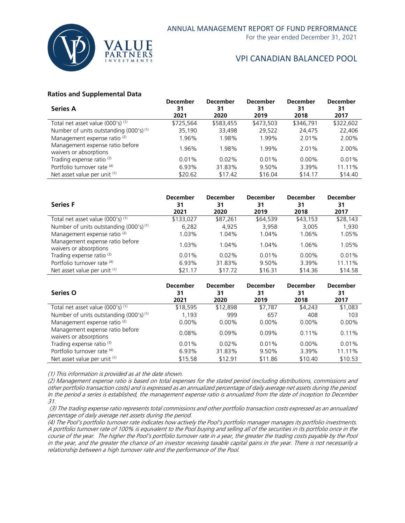

For the year ended December 31, 2021

## VPI CANADIAN BALANCED POOL

#### **Ratios and Supplemental Data**

| <b>Series A</b>                                           | <b>December</b><br>31 | <b>December</b><br>31 | <b>December</b><br>31 | <b>December</b><br>31 | <b>December</b><br>31 |
|-----------------------------------------------------------|-----------------------|-----------------------|-----------------------|-----------------------|-----------------------|
|                                                           | 2021                  | 2020                  | 2019                  | 2018                  | 2017                  |
| Total net asset value (000's) (1)                         | \$725,564             | \$583,455             | \$473,503             | \$346,791             | \$322,602             |
| Number of units outstanding (000's) <sup>(1)</sup>        | 35.190                | 33.498                | 29.522                | 24.475                | 22,406                |
| Management expense ratio <sup>(2)</sup>                   | 1.96%                 | 1.98%                 | 1.99%                 | 2.01%                 | 2.00%                 |
| Management expense ratio before<br>waivers or absorptions | 1.96%                 | 1.98%                 | 1.99%                 | 2.01%                 | 2.00%                 |
| Trading expense ratio <sup>(3)</sup>                      | 0.01%                 | $0.02\%$              | 0.01%                 | $0.00\%$              | 0.01%                 |
| Portfolio turnover rate (4)                               | 6.93%                 | 31.83%                | 9.50%                 | 3.39%                 | 11.11%                |
| Net asset value per unit (1)                              | \$20.62               | \$17.42               | \$16.04               | \$14.17               | \$14.40               |
|                                                           |                       |                       |                       |                       |                       |

| <b>Series F</b>                                           | <b>December</b><br>31<br>2021 | <b>December</b><br>31<br>2020 | <b>December</b><br>31<br>2019 | <b>December</b><br>31<br>2018 | <b>December</b><br>31<br>2017 |
|-----------------------------------------------------------|-------------------------------|-------------------------------|-------------------------------|-------------------------------|-------------------------------|
| Total net asset value (000's) (1)                         | \$133,027                     | \$87.261                      | \$64,539                      | \$43,153                      | \$28,143                      |
| Number of units outstanding (000's) <sup>(1)</sup>        | 6,282                         | 4.925                         | 3.958                         | 3.005                         | 1,930                         |
| Management expense ratio <sup>(2)</sup>                   | 1.03%                         | 1.04%                         | 1.04%                         | 1.06%                         | 1.05%                         |
| Management expense ratio before<br>waivers or absorptions | $1.03\%$                      | 1.04%                         | 1.04%                         | 1.06%                         | 1.05%                         |
| Trading expense ratio <sup>(3)</sup>                      | 0.01%                         | $0.02\%$                      | 0.01%                         | $0.00\%$                      | 0.01%                         |
| Portfolio turnover rate (4)                               | 6.93%                         | 31.83%                        | 9.50%                         | 3.39%                         | 11.11%                        |
| Net asset value per unit (1)                              | \$21.17                       | \$17.72                       | \$16.31                       | \$14.36                       | \$14.58                       |

| Series O                                                  | <b>December</b><br>31<br>2021 | <b>December</b><br>31<br>2020 | <b>December</b><br>31<br>2019 | <b>December</b><br>31<br>2018 | <b>December</b><br>31<br>2017 |
|-----------------------------------------------------------|-------------------------------|-------------------------------|-------------------------------|-------------------------------|-------------------------------|
| Total net asset value (000's) (1)                         | \$18,595                      | \$12,898                      | \$7,787                       | \$4.243                       | \$1,083                       |
| Number of units outstanding (000's) <sup>(1)</sup>        | 1,193                         | 999                           | 657                           | 408                           | 103                           |
| Management expense ratio <sup>(2)</sup>                   | $0.00\%$                      | $0.00\%$                      | $0.00\%$                      | $0.00\%$                      | $0.00\%$                      |
| Management expense ratio before<br>waivers or absorptions | 0.08%                         | $0.09\%$                      | $0.09\%$                      | 0.11%                         | 0.11%                         |
| Trading expense ratio <sup>(3)</sup>                      | 0.01%                         | $0.02\%$                      | 0.01%                         | $0.00\%$                      | 0.01%                         |
| Portfolio turnover rate (4)                               | 6.93%                         | 31.83%                        | 9.50%                         | 3.39%                         | 11.11%                        |
| Net asset value per unit (1)                              | \$15.58                       | \$12.91                       | \$11.86                       | \$10.40                       | \$10.53                       |

(1) This information is provided as at the date shown.

(2) Management expense ratio is based on total expenses for the stated period (excluding distributions, commissions and other portfolio transaction costs) and is expressed as an annualized percentage of daily average net assets during the period. In the period a series is established, the management expense ratio is annualized from the date of inception to December 31.

(3) The trading expense ratio represents total commissions and other portfolio transaction costs expressed as an annualized percentage of daily average net assets during the period.

(4) The Pool's portfolio turnover rate indicates how actively the Pool's portfolio manager manages its portfolio investments. A portfolio turnover rate of 100% is equivalent to the Pool buying and selling all of the securities in its portfolio once in the course of the year. The higher the Pool's portfolio turnover rate in a year, the greater the trading costs payable by the Pool in the year, and the greater the chance of an investor receiving taxable capital gains in the year. There is not necessarily a relationship between a high turnover rate and the performance of the Pool.